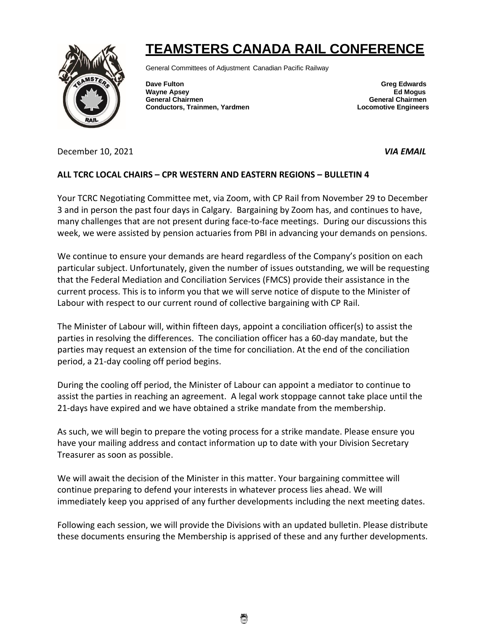

## **TEAMSTERS CANADA RAIL CONFERENCE**

General Committees of Adjustment Canadian Pacific Railway

**Dave Fulton Greg Edwards** Greg Edwards **Greg Edwards Wayne Apsey Ed Mogus General Chairmen General Chairmen Conductors, Trainmen, Yardmen Locomotive Engineers**

December 10, 2021 *VIA EMAIL* 

## **ALL TCRC LOCAL CHAIRS – CPR WESTERN AND EASTERN REGIONS – BULLETIN 4**

Your TCRC Negotiating Committee met, via Zoom, with CP Rail from November 29 to December 3 and in person the past four days in Calgary. Bargaining by Zoom has, and continues to have, many challenges that are not present during face-to-face meetings. During our discussions this week, we were assisted by pension actuaries from PBI in advancing your demands on pensions.

We continue to ensure your demands are heard regardless of the Company's position on each particular subject. Unfortunately, given the number of issues outstanding, we will be requesting that the Federal Mediation and Conciliation Services (FMCS) provide their assistance in the current process. This is to inform you that we will serve notice of dispute to the Minister of Labour with respect to our current round of collective bargaining with CP Rail.

The Minister of Labour will, within fifteen days, appoint a conciliation officer(s) to assist the parties in resolving the differences. The conciliation officer has a 60-day mandate, but the parties may request an extension of the time for conciliation. At the end of the conciliation period, a 21-day cooling off period begins.

During the cooling off period, the Minister of Labour can appoint a mediator to continue to assist the parties in reaching an agreement. A legal work stoppage cannot take place until the 21-days have expired and we have obtained a strike mandate from the membership.

As such, we will begin to prepare the voting process for a strike mandate. Please ensure you have your mailing address and contact information up to date with your Division Secretary Treasurer as soon as possible.

We will await the decision of the Minister in this matter. Your bargaining committee will continue preparing to defend your interests in whatever process lies ahead. We will immediately keep you apprised of any further developments including the next meeting dates.

Following each session, we will provide the Divisions with an updated bulletin. Please distribute these documents ensuring the Membership is apprised of these and any further developments.